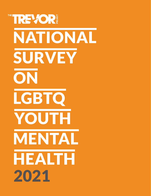# THE TREVOR! NATIONAL SURVEY **ON** LGBTQ YOUTH MENTALHEALTH 2021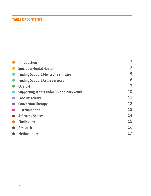## **TABLE OF CONTENTS**

| <b>Introduction</b>                                 | $\overline{2}$ |
|-----------------------------------------------------|----------------|
| Suicide & Mental Health                             | 3              |
| <b>Finding Support: Mental Healthcare</b>           | 5              |
| <b>Finding Support: Crisis Services</b>             | 6              |
| COVID-19                                            | 7              |
| <b>Supporting Transgender &amp; Nonbinary Youth</b> | 10             |
| <b>Food Insecurity</b>                              | 11             |
| <b>Conversion Therapy</b>                           | 12             |
| <b>Discrimination</b>                               | 13             |
| <b>Affirming Spaces</b>                             | 14             |
| <b>Finding Joy</b>                                  | 15             |
| <b>Research</b>                                     | 16             |
| Methodology                                         | 17             |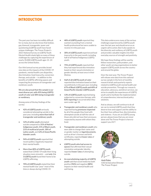#### **INTRODUCTION**

The past year has been incredibly difficult for so many, but we also know that lesbian, gay, bisexual, transgender, queer and questioning (LGBTQ) youth have faced unique challenges. The Trevor Project's 2021 National Survey on LGBTQ Youth Mental Health sheds light on many of these challenges by capturing the experiences of nearly 35,000 LGBTQ youth ages 13–24 across the United States.

Our third annual survey provides brand new data on the impacts of the COVID-19 pandemic, mental health care disparities, discrimination, food insecurity, conversion therapy, and suicide — in addition to the benefits of LGBTQ-affirming spaces and respecting the pronouns of transgender and nonbinary youth.

**We are also proud that this sample is our most diverse yet, with 45% being LGBTQ youth of color and 38% being transgender or nonbinary.**

Among some of the key findings of the survey:

- **• 42% of LGBTQ youth** seriously considered attempting suicide in the past year, including **more than half of transgender and nonbinary youth**.
- **• 12% of white youth** attempted suicide compared to **31% of Native/ Indigenous youth**, **21% of Black youth**, **21% of multiracial youth**, **18% of Latinx youth**, and **12% of Asian/Pacific Islander youth**.
- **• 94% of LGBTQ youth** reported that recent politics negatively impacted their mental health.
- **• More than 80% of LGBTQ youth** stated that COVID-19 made their living situation more stressful — and **only 1 in 3 LGBTQ youth** found their home to be LGBTQ-affirming.
- **• 70% of LGBTQ youth** stated that their mental health was "poor" most of the time or always during COVID-19.
- **• 48% of LGBTQ youth** reported they wanted counseling from a mental health professional but were unable to receive it in the past year.
- **• 30% of LGBTQ youth** experienced food insecurity in the past month, including half of all Native/Indigenous LGBTQ youth.
- **• 75% of LGBTQ youth** reported that they had experienced discrimination based on their sexual orientation or gender identity at least once in their lifetime.
- **• Half of all LGBTQ youth of color** reported discrimination based on their race/ethnicity in the past year, including **67% of Black LGBTQ youth and 60% of Asian/Pacific Islander LGBTQ youth**.
- **• 13% of LGBTQ youth** reported being subjected to conversion therapy, with **83% reporting** it occurred when they were under age 18.
- **• Transgender and nonbinary youth** who reported having **pronouns respected** by all of the people they lived with attempted suicide at half the rate of those who did not have their pronouns respected by anyone with whom they lived.
- **• Transgender and nonbinary youth** who were able to change their name and/ or gender marker on **legal documents**, such as driver's licenses and birth certificates, reported **lower rates** of attempting suicide.
- **• LGBTQ youth who had access to spaces** that affirmed their sexual orientation and gender identity reported **lower rates** of attempting suicide.
- **• An overwhelming majority of LGBTQ youth** said that social media has both positive **(96%)** and negative **(88%)** impacts on their mental health and well-being.

This data underscores many of the serious challenges experienced by LGBTQ youth over the last year and should serve as an urgent call to action. But it also speaks to the diversity and resiliency of LGBTQ youth and provides valuable insights into their everyday sources of strength and positivity.

We hope these findings will be used by fellow researchers, policymakers, and other youth-serving organizations to better support LGBTQ youth across the country and around the globe.

Over the next year, The Trevor Project will release new data from this national survey sample in the form of monthly research briefs and quarterly reports related to LGBTQ youth mental health and suicide prevention. Through our research, education, advocacy, and direct services, we strive to amplify the experiences of LGBTQ youth and to facilitate the implementation of comprehensive, intersectional policy solutions.

And as always, we will continue to do all we can to remind LGBTQ youth that they deserve love and support and the ability to live their lives without fear, discrimination, and violence. If you are an LGBTQ young person, please know that you are never alone and The Trevor Project is here to support you 24/7.



**Amit Paley** CEO & Executive Director The Trevor Project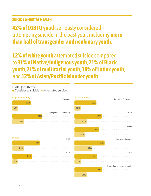## **SUICIDE & MENTAL HEALTH**

**42% of LGBTQ youth** seriously considered attempting suicide in the past year, including **more than half of transgender and nonbinary youth**.

**12% of white youth** attempted suicide compared to **31% of Native/Indigenous youth**, **21% of Black youth**, **21% of multiracial youth**, **18% of Latinx youth**, and **12% of Asian/Pacific Islander youth**.

LGBTQ youth who:

● Considered suicide ● Attempted suicide

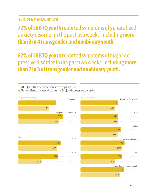## **SUICIDE & MENTAL HEALTH**

**72% of LGBTQ youth** reported symptoms of generalized anxiety disorder in the past two weeks, including **more than 3 in 4 transgender and nonbinary youth.**

**62% of LGBTQ youth** reported symptoms of major depressive disorder in the past two weeks, including **more than 2 in 3 of transgender and nonbinary youth.**

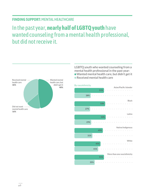#### **FINDING SUPPORT:** MENTAL HEALTHCARE

# In the past year, **nearly half of LGBTQ youth** have wanted counseling from a mental health professional, but did not receive it.



LGBTQ youth who wanted counseling from a mental health professional in the past year:

Wanted mental health care, but didn't get it

Received mental health care

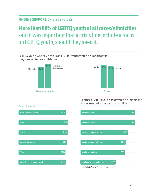## **FINDING SUPPORT:** CRISIS SERVICES

White

More than one race/ethnicity

# **More than 80% of LGBTQ youth of all races/ethnicities** said it was important that a crisis line include a focus on LGBTQ youth, should they need it.



Available by phone **81% 77%**

(e.g. WhatsApp or Facebook Messenger)

**82% 82% 61% 61% 61%** 

 $\alpha = \alpha - \alpha$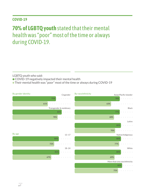#### **COVID-19**

# **70% of LGBTQ youth** stated that their mental health was "poor" most of the time or always during COVID-19.

LGBTQ youth who said:

- COVID-19 negatively impacted their mental health
- Their mental health was "poor" most of the time or always during COVID-19

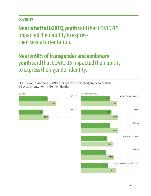## **COVID-19**

**Nearly half of LGBTQ youth** said that COVID-19 impacted their ability to express their sexual orientation.

# **Nearly 60% of transgender and nonbinary youth** said that COVID-19 impacted their ability to express their gender identity.

LGBTQ youth who said COVID-19 impacted their ability to express their: ● Sexual orientation ● Gender identity

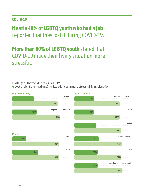## **COVID-19**

# **Nearly 40% of LGBTQ youth who had a job** reported that they lost it during COVID-19.

# **More than 80% of LGBTQ youth** stated that COVID-19 made their living situation more stressful.

LGBTQ youth who, due to COVID-19:

● Lost a job (if they had one) ● Experienced a more stressful living situation

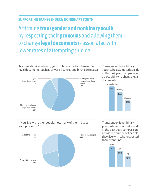### **SUPPORTING TRANSGENDER & NONBINARY YOUTH**

# Affirming **transgender and nonbinary youth** by respecting their **pronouns** and allowing them to change **legal documents** is associated with lower rates of attempting suicide.

Transgender & nonbinary youth who wanted to change their legal documents, such as driver's licenses and birth certificates:



Transgender & nonbinary youth who attempted suicide in the past year, comparison across ability to change legal documents:



If you live with other people, how many of them respect your pronouns?



Transgender & nonbinary youth who attempted suicide in the past year, comparison across the number of people they live with who respected their pronouns:

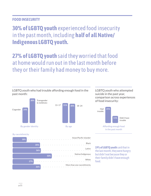#### **FOOD INSECURITY**

**30% of LGBTQ youth** experienced food insecurity in the past month, including **half of all Native/ Indigenous LGBTQ youth.**

**27% of LGBTQ youth** said they worried that food at home would run out in the last month before they or their family had money to buy more.



#### LGBTQ youth who attempted suicide in the past year, comparison across experiences of food insecurity:





**19% of LGBTQ youth** said that in the last month, they were hungry but didn't eat because they or their family didn't have enough food.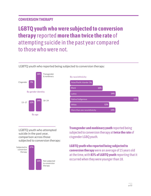## **CONVERSION THERAPY**

**LGBTQ youth who were subjected to conversion therapy** reported **more than twice the rate** of attempting suicide in the past year compared to those who were not.

LGBTQ youth who reported being subjected to conversion therapy:





LGBTQ youth who attempted suicide in the past year, comparison across those subjected to conversion therapy:



**Transgender and nonbinary youth** reported being subjected to conversion therapy at **twice the rate** of cisgender LGBQ youth.

**LGBTQ youth who reported being subjected to conversion therapy** were an average of 15 years old at the time, with **83% of LGBTQ youth** reporting that it occurred when they were younger than 18.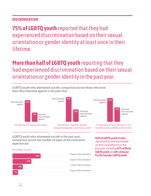## **DISCRIMINATION**

**75% of LGBTQ youth** reported that they had experienced discrimination based on their sexual orientation or gender identity at least once in their lifetime.

# **More than half of LGBTQ youth** reporting that they had experienced discrimination based on their sexual orientation or gender identity in the past year.





On the basis of sexual orientation

On the basis of gender identity among transgender & nonbinary youth

On the basis of race, ethnicity, or nationality among LGBTQ youth of color

LGBTQ youth who attempted suicide in the past year, comparison across the number of types of discrimination experienced:

**By number of types** 



**Half of LGBTQ youth of color**  reported discrimination based on their race/ethnicity in the past year, including **67% of Black** 

**LGBTQ youth** and **60% of Asian/ Pacific Islander LGBTQ youth.**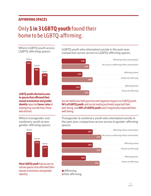#### **AFFIRMING SPACES**

# Only **1 in 3 LGBTQ youth** found their home to be LGBTQ-affirming.

Where LGBTQ youth access LGBTQ-affirming spaces:



**LGBTQ youth who had access to spaces that affirmed their sexual orientation and gender identity** reported **lower rates** of attempting suicide than those who did not.

Where transgender and nonbinary youth access gender-affirming spaces:



**Most LGBTQ youth** had access to online spaces that affirmed their sexual orientation and gender identity.

LGBTQ youth who attempted suicide in the past year, comparison across access to LGBTQ-affirming spaces:



Social media has both positive and negative impacts on LGBTQ youth. **96% of LGBTQ youth** said social media positively impacted their well-being, and **88% of LGBTQ youth** said it negatively impacted their well-being.

Transgender & nonbinary youth who attempted suicide in the past year, comparison across access to gender-affirming spaces:



**Affirming** 

Not affirming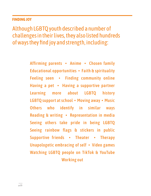#### **FINDING JOY**

Although LGBTQ youth described a number of challenges in their lives, they also listed hundreds of ways they find joy and strength, including:

> Affirming parents • Anime • Chosen family Educational opportunities • Faith & spirituality Feeling seen • Finding community online Having a pet • Having a supportive partner Learning more about LGBTQ history LGBTQ support at school • Moving away • Music Others who identify in similar ways Reading & writing • Representation in media Seeing others take pride in being LGBTQ Seeing rainbow flags & stickers in public Supportive friends • Theater • Therapy Unapologetic embracing of self • Video games Watching LGBTQ people on TikTok & YouTube Working out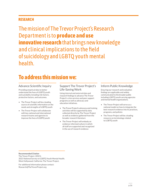#### **RESEARCH**

The mission of The Trevor Project's Research Department is to **produce and use innovative research** that brings new knowledge and clinical implications to the field of suicidology and LGBTQ youth mental health.

## **To address this mission we:**

Providing empirical data to better understand the lives of LGBTQ youth and suicidality including risk factors, protective factors, and outcomes.

- The Trevor Project will be a leading source of scientific information on the needs and strengths of LGBTQ youth
- The Trevor Project will collaborate with key national and international research teams and agencies to improve the lives of LGBTQ youth

#### Advance Scientific Inquiry Support The Trevor Project's Life-Saving Work

Using internal and external data and research findings to advance The Trevor Project's crisis services and peer support programs as well as advocacy and education initiatives.

- The Trevor Project's advocacy and training activities will be supported by data collected directly by The Trevor Project as well as evidence gathered from the broader research literature
- The Trevor Project will embody an evidence-informed culture in which all staff are supported and recognized in the use of research evidence

#### Inform Public Knowledge

Ensuring our research and evaluation findings are applicable and widely communicated to the broader public including LGBTQ youth-serving agencies and mental health organizations.

- The Trevor Project will serve as a national model on how to integrate the best research evidence into its practices, programs, and policies
- The Trevor Project will be a leading resource on terminology related to LGBTQ youth

**Recommended Citation** The Trevor Project. (2021). 2021 National Survey on LGBTQ Youth Mental Health. West Hollywood, California: The Trevor Project.

For additional information please contact: Research@TheTrevorProject.org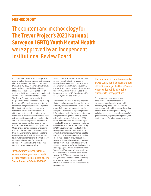#### **METHODOLOGY**

The content and methodology for **The Trevor Project's 2021 National Survey on LGBTQ Youth Mental Health**  were approved by an independent Institutional Review Board.

A quantitative cross-sectional design was used to collect data through an online survey platform between October 12, 2020 and December 31, 2020. A sample of individuals ages 13–24 who resided in the United States was recruited via targeted ads on social media. No recruitment was conducted via The Trevor Project website or any of The Trevor Project's social media sites. Respondents were defined as being LGBTQ if they identified with a sexual orientation other than straight/heterosexual, a gender identity other than cisgender, or both. In order to ensure representativeness of the sample, targeted recruitment was conducted to ensure adequate sample sizes with respect to geography, gender identity, and race/ethnicity. Qualified respondents completed a secure online questionnaire that included a maximum of 142 questions. Questions on considering and attempting suicide in the past 12 months were taken from the Centers for Disease Control and Prevention's Youth Risk Behavior Survey to allow for comparisons to their nationally representative sample. Each question related to mental health and suicide was preceded by a message stating,

"If at any time you need to talk to someone about your mental health or thoughts of suicide, please call The Trevor Project at 1-866-488-7386."

Participation was voluntary and informed consent was obtained. No names or personal details were included to ensure anonymity. A total of 82,147 youth from unique IP addresses consented to complete the survey. Eligible youth included those between the ages of 13–24 who identified as LGBTQ and resided in the U.S.

Additionally, in order to develop a sample that more closely approximated the race and ethnicity composition of the United States, quota limits were set for race/ethnicity categories. After providing demographic information — including their age, state, sex assigned at birth, gender identity, sexual orientation, and race/ethnicity — 2,158 youth were screened out based on ages outside of the sample range and residency outside of the United States. Additionally, 27,588 youth were screened out of the survey due to quotas for race/ethnicity already being met, resulting in an eligible sample of 54,559 respondents. A validity check was placed midway through the survey which asked participants to select "agree" from a five-point statement with answers ranging from "strongly disagree" to "strongly agree." Youth who did not select "agree" (n=804) or who did not reach the validity question in the mid-point of the survey (18,365) were removed from the analytic sample. More detailed screening of response consistency and quality resulted in the removal of an additional 631 respondents.

The final analytic sample consisted of 34,759 LGBTQ youth between the ages of 13–24 residing in the United States who provided valid and reliable responses to survey questions.

This report uses "transgender and nonbinary" as an umbrella term to encompass non-cisgender youth, which includes young people who identify as transgender and nonbinary as well as other labels outside of the cisgender binary, including genderqueer, agender, genderfluid, gender neutral, bigender, androgynous, and gender non-conforming, among others.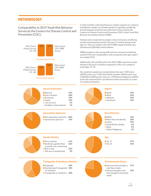#### **METHODOLOGY**

Comparability to 2019 Youth Risk Behavior Survey by the Centers for Disease Control and Prevention (CDC):





#### **Sexual Orientation**

| $\bullet$ Bisexual       | 37% |
|--------------------------|-----|
| Gay or lesbian           | 28% |
| • Pansexual              | 19% |
| • Queer                  | 12% |
| I am not sure            | 4%  |
| Straight or heterosexual | 1%  |
|                          |     |

#### **Asexual/Ace Spectrum**

| Not asexual/ace spectrum | 86% |
|--------------------------|-----|
| Asexual/ace spectrum     | 14% |

In order to better understand how our sample compares to a national probabilistic sample, we included questions regarding considering and attempting suicide that were identical to those used by the Centers for Disease Control and Prevention (CDC) in their Youth Risk Behavior Surveillance System (YRBS).

Analyses were conducted to compare rates of seriously considering suicide and attempting suicide in the past 12 months among youth ages 13–18 in our sample to the 2019 YRBS sample of lesbian, gay, and bisexual (LGB) high school students.

YRBS prevalence rates among LGB youth for seriously considering suicide (47%) were comparable to rates among the same age range in our sample (47%).

Additionally, 23% of LGB youth in the 2019 YRBS reported a suicide attempt in the past 12 months compared to 19% in our sample of youth ages 13–18.

Our analytical sample has representation from over 7,500 Latinx LGBTQ youth, over 3,700 Asian/Pacific Islander LGBTQ youth, over 3,400 Black LGBTQ youth, and over 1,700 Native/Indigenous LGBTQ youth who reported their race/ethnicity either exclusively or as part of a multiracial identity.



| ıth    | 35% |
|--------|-----|
| st     | 26% |
| lwest  | 23% |
| theast | 16% |
|        |     |



#### **Race/Ethnicity**

 $• 13-17$ 18–24

| ● White<br>• More than one identity<br>$\bullet$ Latinx<br>● Asian/Pacific Islander<br><b>Black</b> | 55%<br>18%<br>15%<br>6%<br>5% |
|-----------------------------------------------------------------------------------------------------|-------------------------------|
| Native/Indigenous                                                                                   | 2%                            |



#### **Gender Identity Age**

| $\bullet$ Girl or woman<br>● Nonbinary, gender fluid, | 41%<br>26% |
|-------------------------------------------------------|------------|
| or gender non-conforming                              |            |
| ● Boy or man                                          | 23%        |
| Not sure or questioning                               | 9%         |



#### **Transgender & Nonbinary Identity Socioeconomic Status**

- **Cisgender**  Questioning if transgender **18%**  or nonbinary **44%**
- Transgender or nonbinary **38%**



- Has more than enough to **77%** meet basic needs
- Has just enough or less than enough to meet basic needs **23%**

**57% 43%**